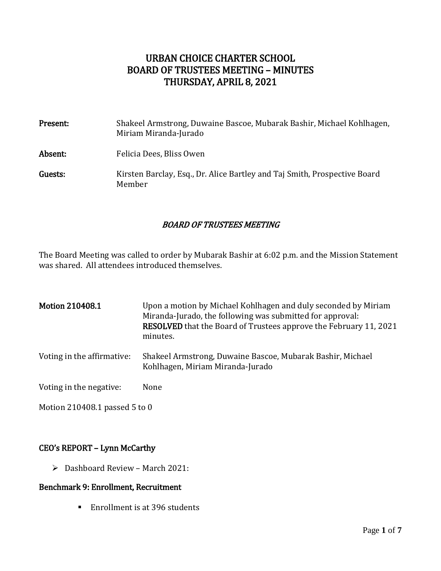# URBAN CHOICE CHARTER SCHOOL BOARD OF TRUSTEES MEETING – MINUTES THURSDAY, APRIL 8, 2021

| Present: | Shakeel Armstrong, Duwaine Bascoe, Mubarak Bashir, Michael Kohlhagen,<br>Miriam Miranda-Jurado |
|----------|------------------------------------------------------------------------------------------------|
| Absent:  | Felicia Dees, Bliss Owen                                                                       |
| Guests:  | Kirsten Barclay, Esq., Dr. Alice Bartley and Taj Smith, Prospective Board<br>Member            |

#### BOARD OF TRUSTEES MEETING

The Board Meeting was called to order by Mubarak Bashir at 6:02 p.m. and the Mission Statement was shared. All attendees introduced themselves.

| <b>Motion 210408.1</b>     | Upon a motion by Michael Kohlhagen and duly seconded by Miriam<br>Miranda-Jurado, the following was submitted for approval:<br><b>RESOLVED</b> that the Board of Trustees approve the February 11, 2021<br>minutes. |
|----------------------------|---------------------------------------------------------------------------------------------------------------------------------------------------------------------------------------------------------------------|
| Voting in the affirmative: | Shakeel Armstrong, Duwaine Bascoe, Mubarak Bashir, Michael<br>Kohlhagen, Miriam Miranda-Jurado                                                                                                                      |
| Voting in the negative:    | None                                                                                                                                                                                                                |

Motion 210408.1 passed 5 to 0

### CEO's REPORT – Lynn McCarthy

 $\triangleright$  Dashboard Review – March 2021:

#### Benchmark 9: Enrollment, Recruitment

■ Enrollment is at 396 students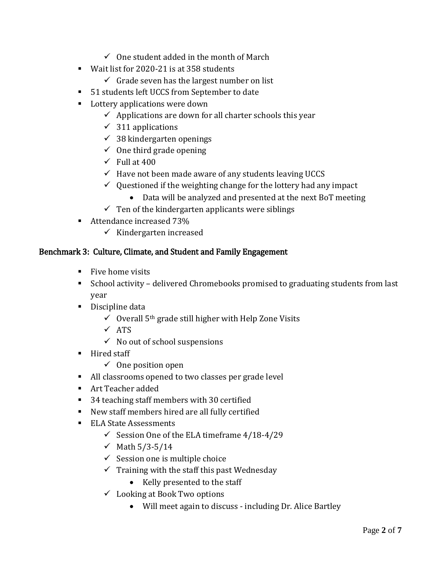- $\checkmark$  One student added in the month of March
- Wait list for 2020-21 is at 358 students
	- $\checkmark$  Grade seven has the largest number on list
- 51 students left UCCS from September to date
- **Lottery applications were down** 
	- $\checkmark$  Applications are down for all charter schools this year
	- $\checkmark$  311 applications
	- $\checkmark$  38 kindergarten openings
	- $\checkmark$  One third grade opening
	- $\checkmark$  Full at 400
	- $\checkmark$  Have not been made aware of any students leaving UCCS
	- $\checkmark$  Questioned if the weighting change for the lottery had any impact
		- Data will be analyzed and presented at the next BoT meeting
	- $\checkmark$  Ten of the kindergarten applicants were siblings
- Attendance increased 73%
	- $\checkmark$  Kindergarten increased

## Benchmark 3: Culture, Climate, and Student and Family Engagement

- **Five home visits**
- School activity delivered Chromebooks promised to graduating students from last year
- Discipline data
	- $\checkmark$  Overall 5<sup>th</sup> grade still higher with Help Zone Visits
	- $\sqrt{ATS}$
	- $\checkmark$  No out of school suspensions
- Hired staff
	- $\checkmark$  One position open
- All classrooms opened to two classes per grade level
- Art Teacher added
- 34 teaching staff members with 30 certified
- New staff members hired are all fully certified
- ELA State Assessments
	- $\checkmark$  Session One of the ELA timeframe 4/18-4/29
	- ◆ Math  $5/3 5/14$
	- $\checkmark$  Session one is multiple choice
	- $\checkmark$  Training with the staff this past Wednesday
		- Kelly presented to the staff
	- $\checkmark$  Looking at Book Two options
		- Will meet again to discuss including Dr. Alice Bartley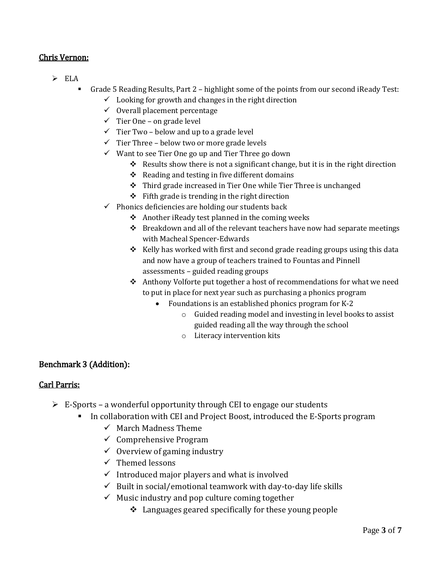## Chris Vernon:

- $\triangleright$  ELA
	- Grade 5 Reading Results, Part 2 highlight some of the points from our second iReady Test:
		- $\checkmark$  Looking for growth and changes in the right direction
		- $\checkmark$  Overall placement percentage
		- $\checkmark$  Tier One on grade level
		- $\checkmark$  Tier Two below and up to a grade level
		- $\checkmark$  Tier Three below two or more grade levels
		- $\checkmark$  Want to see Tier One go up and Tier Three go down
			- Results show there is not a significant change, but it is in the right direction
			- $\triangleleft$  Reading and testing in five different domains
			- Third grade increased in Tier One while Tier Three is unchanged
			- $\div$  Fifth grade is trending in the right direction
		- $\checkmark$  Phonics deficiencies are holding our students back
			- $\triangle$  Another iReady test planned in the coming weeks
			- $\cdot \cdot$  Breakdown and all of the relevant teachers have now had separate meetings with Macheal Spencer-Edwards
			- \* Kelly has worked with first and second grade reading groups using this data and now have a group of teachers trained to Fountas and Pinnell assessments – guided reading groups
			- ◆ Anthony Volforte put together a host of recommendations for what we need to put in place for next year such as purchasing a phonics program
				- Foundations is an established phonics program for K-2
					- o Guided reading model and investing in level books to assist guided reading all the way through the school
					- o Literacy intervention kits

### Benchmark 3 (Addition):

### Carl Parris:

- $\triangleright$  E-Sports a wonderful opportunity through CEI to engage our students
	- In collaboration with CEI and Project Boost, introduced the E-Sports program
		- $\checkmark$  March Madness Theme
		- $\checkmark$  Comprehensive Program
		- $\checkmark$  Overview of gaming industry
		- $\checkmark$  Themed lessons
		- $\checkmark$  Introduced major players and what is involved
		- $\checkmark$  Built in social/emotional teamwork with day-to-day life skills
		- $\checkmark$  Music industry and pop culture coming together
			- $\triangleleft$  Languages geared specifically for these young people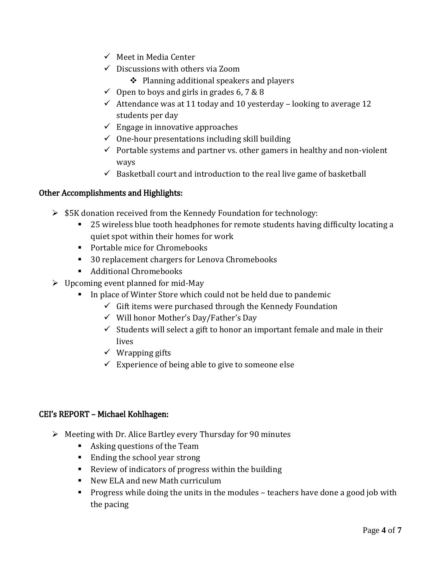- $\checkmark$  Meet in Media Center
- $\checkmark$  Discussions with others via Zoom
	- ❖ Planning additional speakers and players
- $\checkmark$  Open to boys and girls in grades 6, 7 & 8
- $\checkmark$  Attendance was at 11 today and 10 yesterday looking to average 12 students per day
- $\checkmark$  Engage in innovative approaches
- $\checkmark$  One-hour presentations including skill building
- $\checkmark$  Portable systems and partner vs. other gamers in healthy and non-violent ways
- $\checkmark$  Basketball court and introduction to the real live game of basketball

## Other Accomplishments and Highlights:

- $\triangleright$  \$5K donation received from the Kennedy Foundation for technology:
	- 25 wireless blue tooth headphones for remote students having difficulty locating a quiet spot within their homes for work
	- **Portable mice for Chromebooks**
	- 30 replacement chargers for Lenova Chromebooks
	- Additional Chromebooks
- $\triangleright$  Upcoming event planned for mid-May
	- In place of Winter Store which could not be held due to pandemic
		- $\checkmark$  Gift items were purchased through the Kennedy Foundation
		- $\checkmark$  Will honor Mother's Day/Father's Day
		- $\checkmark$  Students will select a gift to honor an important female and male in their lives
		- $\checkmark$  Wrapping gifts
		- $\checkmark$  Experience of being able to give to someone else

### CEI's REPORT – Michael Kohlhagen:

- $\triangleright$  Meeting with Dr. Alice Bartley every Thursday for 90 minutes
	- Asking questions of the Team
	- Ending the school year strong
	- Review of indicators of progress within the building
	- New ELA and new Math curriculum
	- **Progress while doing the units in the modules teachers have done a good job with** the pacing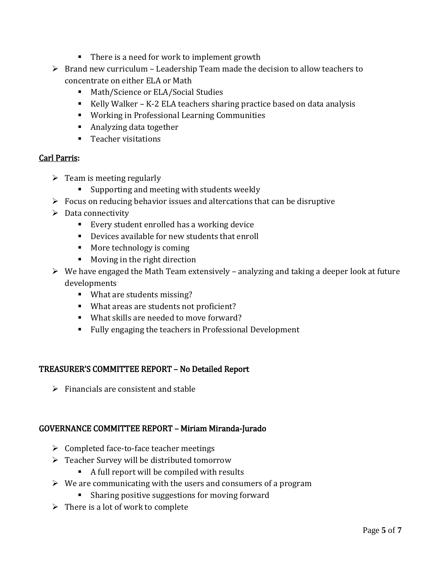- There is a need for work to implement growth
- $\triangleright$  Brand new curriculum Leadership Team made the decision to allow teachers to concentrate on either ELA or Math
	- Math/Science or ELA/Social Studies
	- Kelly Walker K-2 ELA teachers sharing practice based on data analysis
	- Working in Professional Learning Communities
	- Analyzing data together
	- **Teacher visitations**

### Carl Parris:

- $\triangleright$  Team is meeting regularly
	- **Supporting and meeting with students weekly**
- $\triangleright$  Focus on reducing behavior issues and altercations that can be disruptive
- $\triangleright$  Data connectivity
	- Every student enrolled has a working device
	- Devices available for new students that enroll
	- **More technology is coming**
	- **Moving in the right direction**
- $\triangleright$  We have engaged the Math Team extensively analyzing and taking a deeper look at future developments
	- What are students missing?
	- What areas are students not proficient?
	- What skills are needed to move forward?
	- Fully engaging the teachers in Professional Development

### TREASURER'S COMMITTEE REPORT – No Detailed Report

 $\triangleright$  Financials are consistent and stable

# GOVERNANCE COMMITTEE REPORT – Miriam Miranda-Jurado

- $\triangleright$  Completed face-to-face teacher meetings
- Teacher Survey will be distributed tomorrow
	- A full report will be compiled with results
- $\triangleright$  We are communicating with the users and consumers of a program
	- **Sharing positive suggestions for moving forward**
- $\triangleright$  There is a lot of work to complete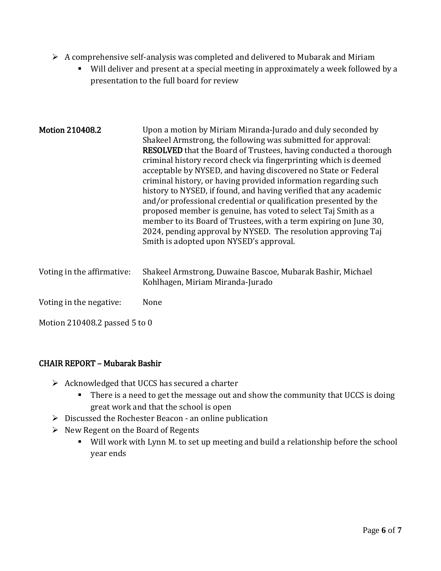- $\triangleright$  A comprehensive self-analysis was completed and delivered to Mubarak and Miriam
	- Will deliver and present at a special meeting in approximately a week followed by a presentation to the full board for review

| <b>Motion 210408.2</b>        | Upon a motion by Miriam Miranda-Jurado and duly seconded by<br>Shakeel Armstrong, the following was submitted for approval:<br><b>RESOLVED</b> that the Board of Trustees, having conducted a thorough<br>criminal history record check via fingerprinting which is deemed<br>acceptable by NYSED, and having discovered no State or Federal<br>criminal history, or having provided information regarding such<br>history to NYSED, if found, and having verified that any academic<br>and/or professional credential or qualification presented by the<br>proposed member is genuine, has voted to select Taj Smith as a<br>member to its Board of Trustees, with a term expiring on June 30,<br>2024, pending approval by NYSED. The resolution approving Taj<br>Smith is adopted upon NYSED's approval. |  |
|-------------------------------|-------------------------------------------------------------------------------------------------------------------------------------------------------------------------------------------------------------------------------------------------------------------------------------------------------------------------------------------------------------------------------------------------------------------------------------------------------------------------------------------------------------------------------------------------------------------------------------------------------------------------------------------------------------------------------------------------------------------------------------------------------------------------------------------------------------|--|
| Voting in the affirmative:    | Shakeel Armstrong, Duwaine Bascoe, Mubarak Bashir, Michael<br>Kohlhagen, Miriam Miranda-Jurado                                                                                                                                                                                                                                                                                                                                                                                                                                                                                                                                                                                                                                                                                                              |  |
| Voting in the negative:       | None                                                                                                                                                                                                                                                                                                                                                                                                                                                                                                                                                                                                                                                                                                                                                                                                        |  |
| Motion 210408.2 passed 5 to 0 |                                                                                                                                                                                                                                                                                                                                                                                                                                                                                                                                                                                                                                                                                                                                                                                                             |  |

### CHAIR REPORT – Mubarak Bashir

- $\triangleright$  Acknowledged that UCCS has secured a charter
	- **There is a need to get the message out and show the community that UCCS is doing** great work and that the school is open
- $\triangleright$  Discussed the Rochester Beacon an online publication
- $\triangleright$  New Regent on the Board of Regents
	- Will work with Lynn M. to set up meeting and build a relationship before the school year ends